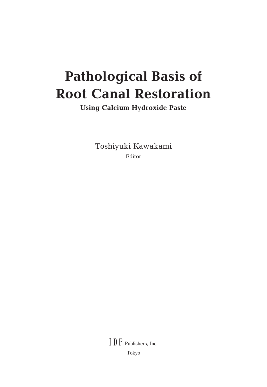# **Pathological Basis of Root Canal Restoration**

**Using Calcium Hydroxide Paste**

Toshiyuki Kawakami Editor

I D P Publishers, Inc.

Tokyo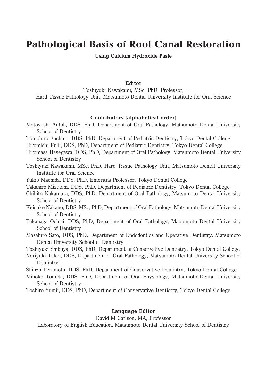# **Pathological Basis of Root Canal Restoration**

#### **Using Calcium Hydroxide Paste**

#### **Editor**

Toshiyuki Kawakami, MSc, PhD, Professor, Hard Tissue Pathology Unit, Matsumoto Dental University Institute for Oral Science

#### **Contributors (alphabetical order)**

- Motoyoshi Antoh, DDS, PhD, Department of Oral Pathology, Matsumoto Dental University School of Dentistry
- Tomohiro Fuchino, DDS, PhD, Department of Pediatric Dentistry, Tokyo Dental College
- Hiromichi Fujii, DDS, PhD, Department of Pediatric Dentistry, Tokyo Dental College
- Hiromasa Hasegawa, DDS, PhD, Department of Oral Pathology, Matsumoto Dental University School of Dentistry
- Toshiyuki Kawakami, MSc, PhD, Hard Tissue Pathology Unit, Matsumoto Dental University Institute for Oral Science
- Yukio Machida, DDS, PhD, Emeritus Professor, Tokyo Dental College
- Takahiro Mizutani, DDS, PhD, Department of Pediatric Dentistry, Tokyo Dental College
- Chihito Nakamura, DDS, PhD, Department of Oral Pathology, Matsumoto Dental University School of Dentistry
- Keisuke Nakano, DDS, MSc, PhD, Department of Oral Pathology, Matsumoto Dental University School of Dentistry
- Takanaga Ochiai, DDS, PhD, Department of Oral Pathology, Matsumoto Dental University School of Dentistry
- Masahiro Sato, DDS, PhD, Department of Endodontics and Operative Dentistry, Matsumoto Dental University School of Dentistry

Toshiyuki Shibuya, DDS, PhD, Department of Conservative Dentistry, Tokyo Dental College

Noriyuki Takei, DDS, Department of Oral Pathology, Matsumoto Dental University School of Dentistry

Shinzo Teramoto, DDS, PhD, Department of Conservative Dentistry, Tokyo Dental College

- Mihoko Tomida, DDS, PhD, Department of Oral Physiology, Matsumoto Dental University School of Dentistry
- Toshiro Yumii, DDS, PhD, Department of Conservative Dentistry, Tokyo Dental College

#### **Language Editor**

David M Carlson, MA, Professor

Laboratory of English Education, Matsumoto Dental University School of Dentistry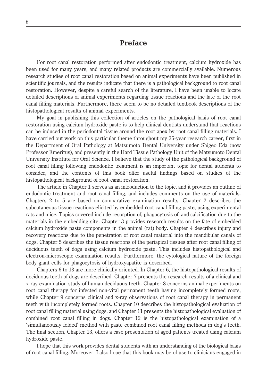## **Preface**

For root canal restoration performed after endodontic treatment, calcium hydroxide has been used for many years, and many related products are commercially available. Numerous research studies of root canal restoration based on animal experiments have been published in scientific journals, and the results indicate that there is a pathological background to root canal restoration. However, despite a careful search of the literature, I have been unable to locate detailed descriptions of animal experiments regarding tissue reactions and the fate of the root canal filling materials. Furthermore, there seem to be no detailed textbook descriptions of the histopathological results of animal experiments.

My goal in publishing this collection of articles on the pathological basis of root canal restoration using calcium hydroxide paste is to help clinical dentists understand that reactions can be induced in the periodontal tissue around the root apex by root canal filling materials. I have carried out work on this particular theme throughout my 35-year research career, first in the Department of Oral Pathology at Matsumoto Dental University under Shigeo Eda (now Professor Emeritus), and presently in the Hard Tissue Pathology Unit of the Matsumoto Dental University Institute for Oral Science. I believe that the study of the pathological background of root canal filling following endodontic treatment is an important topic for dental students to consider, and the contents of this book offer useful findings based on studies of the histopathological background of root canal restoration.

The article in Chapter 1 serves as an introduction to the topic, and it provides an outline of endodontic treatment and root canal filling, and includes comments on the use of materials. Chapters 2 to 5 are based on comparative examination results. Chapter 2 describes the subcutaneous tissue reactions elicited by embedded root canal filling paste, using experimental rats and mice. Topics covered include resorption of, phagocytosis of, and calcification due to the materials in the embedding site. Chapter 3 provides research results on the fate of embedded calcium hydroxide paste components in the animal (rat) body. Chapter 4 describes injury and recovery reactions due to the penetration of root canal material into the mandibular canals of dogs. Chapter 5 describes the tissue reactions of the periapical tissues after root canal filling of deciduous teeth of dogs using calcium hydroxide paste. This includes histopathological and electron-microscopic examination results. Furthermore, the cytological nature of the foreign body giant cells for phagocytosis of hydroxyapatite is described.

Chapters 6 to 13 are more clinically oriented. In Chapter 6, the histopathological results of deciduous teeth of dogs are described. Chapter 7 presents the research results of a clinical and x-ray examination study of human deciduous teeth. Chapter 8 concerns animal experiments on root canal therapy for infected non-vital permanent teeth having incompletely formed roots, while Chapter 9 concerns clinical and x-ray observations of root canal therapy in permanent teeth with incompletely formed roots. Chapter 10 describes the histopathological evaluation of root canal filling material using dogs, and Chapter 11 presents the histopathological evaluation of combined root canal filling in dogs. Chapter 12 is the histopathological examination of a 'simultaneously folded' method with paste combined root canal filling methods in dog's teeth. The final section, Chapter 13, offers a case presentation of aged patients treated using calcium hydroxide paste.

I hope that this work provides dental students with an understanding of the biological basis of root canal filling. Moreover, I also hope that this book may be of use to clinicians engaged in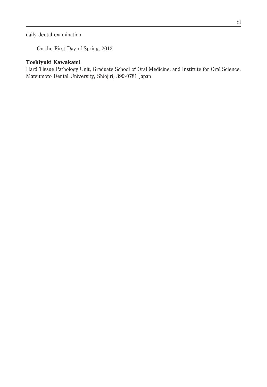daily dental examination.

On the First Day of Spring, 2012

#### **Toshiyuki Kawakami**

Hard Tissue Pathology Unit, Graduate School of Oral Medicine, and Institute for Oral Science, Matsumoto Dental University, Shiojiri, 399-0781 Japan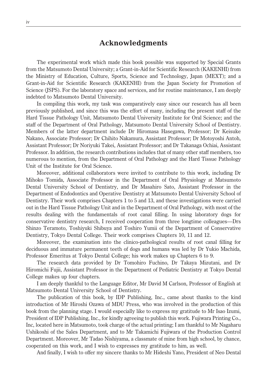### **Acknowledgments**

The experimental work which made this book possible was supported by Special Grants from the Matsumoto Dental University; a Grant-in-Aid for Scientific Research (KAKENHI) from the Ministry of Education, Culture, Sports, Science and Technology, Japan (MEXT); and a Grant-in-Aid for Scientific Research (KAKENHI) from the Japan Society for Promotion of Science (JSPS). For the laboratory space and services, and for routine maintenance, I am deeply indebted to Matsumoto Dental University.

In compiling this work, my task was comparatively easy since our research has all been previously published, and since this was the effort of many, including the present staff of the Hard Tissue Pathology Unit, Matsumoto Dental University Institute for Oral Science; and the staff of the Department of Oral Pathology, Matsumoto Dental University School of Dentistry. Members of the latter department include Dr Hiromasa Hasegawa, Professor; Dr Keisuke Nakano, Associate Professor; Dr Chihito Nakamura, Assistant Professor; Dr Motoyoshi Antoh, Assistant Professor; Dr Noriyuki Takei, Assistant Professor; and Dr Takanaga Ochiai, Assistant Professor. In addition, the research contributions includes that of many other staff members, too numerous to mention, from the Department of Oral Pathology and the Hard Tissue Pathology Unit of the Institute for Oral Science.

Moreover, additional collaborators were invited to contribute to this work, including Dr Mihoko Tomida, Associate Professor in the Department of Oral Physiology at Matsumoto Dental University School of Dentistry, and Dr Masahiro Sato, Assistant Professor in the Department of Endodontics and Operative Dentistry at Matsumoto Dental University School of Dentistry. Their work comprises Chapters 1 to 5 and 13, and these investigations were carried out in the Hard Tissue Pathology Unit and in the Department of Oral Pathology, with most of the results dealing with the fundamentals of root canal filling. In using laboratory dogs for conservative dentistry research, I received cooperation from three longtime colleagues—Drs Shinzo Teramoto, Toshiyuki Shibuya and Toshiro Yumii of the Department of Conservative Dentistry, Tokyo Dental College. Their work comprises Chapters 10, 11 and 12.

Moreover, the examination into the clinico-pathological results of root canal filling for deciduous and immature permanent teeth of dogs and humans was led by Dr Yukio Machida, Professor Emeritus at Tokyo Dental College; his work makes up Chapters 6 to 9.

The research data provided by Dr Tomohiro Fuchino, Dr Takaya Mizutani, and Dr Hiromichi Fujii, Assistant Professor in the Department of Pediatric Dentistry at Tokyo Dental College makes up four chapters.

I am deeply thankful to the Language Editor, Mr David M Carlson, Professor of English at Matsumoto Dental University School of Dentistry.

The publication of this book, by IDP Publishing, Inc., came about thanks to the kind introduction of Mr Hiroshi Ozawa of MDU Press, who was involved in the production of this book from the planning stage. I would especially like to express my gratitude to Mr Isao Izumi, President of IDP Publishing, Inc., for kindly agreeing to publish this work. Fujiwara Printing Co., Inc, located here in Matsumoto, took charge of the actual printing; I am thankful to Mr Nagaharu Ushikoshi of the Sales Department, and to Mr Takamichi Fujiwara of the Production Control Department. Moreover, Mr Tadao Nishiyama, a classmate of mine from high school, by chance, cooperated on this work, and I wish to expresses my gratitude to him, as well.

And finally, I wish to offer my sincere thanks to Mr Hideshi Yano, President of Neo Dental